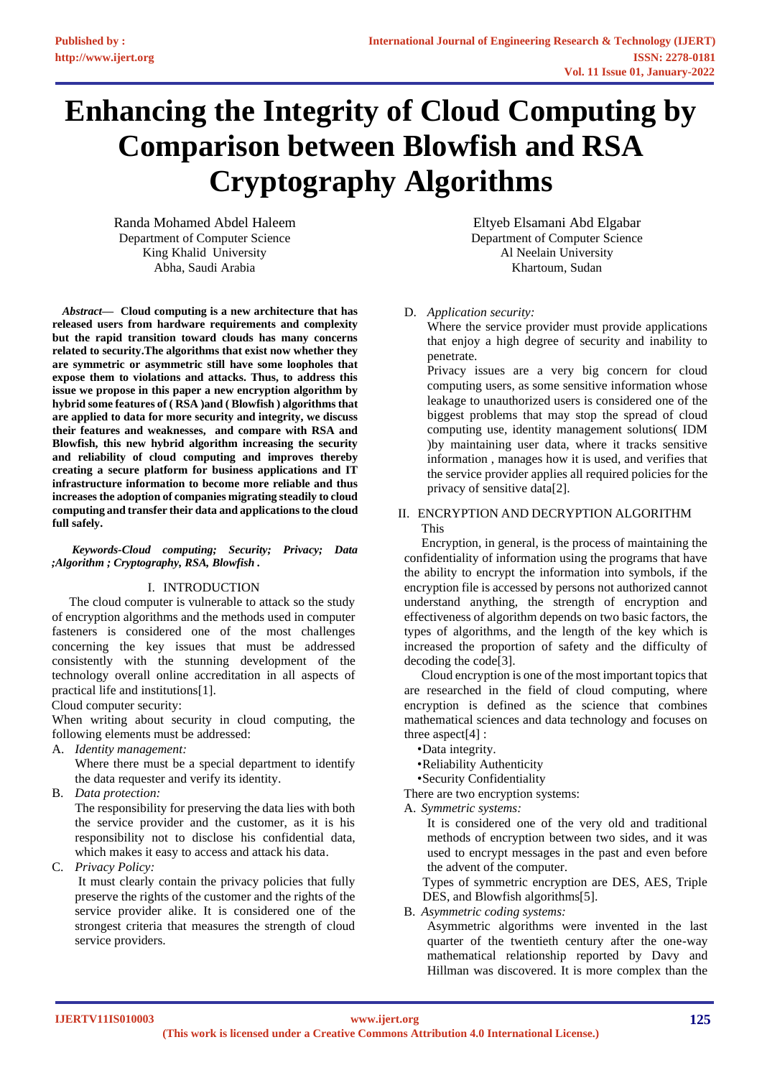# **Enhancing the Integrity of Cloud Computing by Comparison between Blowfish and RSA Cryptography Algorithms**

Randa Mohamed Abdel Haleem Department of Computer Science King Khalid University Abha, Saudi Arabia

 *Abstract***— Cloud computing is a new architecture that has released users from hardware requirements and complexity but the rapid transition toward clouds has many concerns related to security.The algorithms that exist now whether they are symmetric or asymmetric still have some loopholes that expose them to violations and attacks. Thus, to address this issue we propose in this paper a new encryption algorithm by hybrid some features of ( RSA )and ( Blowfish ) algorithms that are applied to data for more security and integrity, we discuss their features and weaknesses, and compare with RSA and Blowfish, this new hybrid algorithm increasing the security and reliability of cloud computing and improves thereby creating a secure platform for business applications and IT infrastructure information to become more reliable and thus increases the adoption of companies migrating steadily to cloud computing and transfer their data and applications to the cloud full safely.**

*Keywords-Cloud computing; Security; Privacy; Data ;Algorithm ; Cryptography, RSA, Blowfish .* 

#### I. INTRODUCTION

The cloud computer is vulnerable to attack so the study of encryption algorithms and the methods used in computer fasteners is considered one of the most challenges concerning the key issues that must be addressed consistently with the stunning development of the technology overall online accreditation in all aspects of practical life and institutions[1].

Cloud computer security:

When writing about security in cloud computing, the following elements must be addressed:

A. *Identity management:*

Where there must be a special department to identify the data requester and verify its identity.

B. *Data protection:*

The responsibility for preserving the data lies with both the service provider and the customer, as it is his responsibility not to disclose his confidential data, which makes it easy to access and attack his data.

C. *Privacy Policy:*

It must clearly contain the privacy policies that fully preserve the rights of the customer and the rights of the service provider alike. It is considered one of the strongest criteria that measures the strength of cloud service providers.

Eltyeb Elsamani Abd Elgabar Department of Computer Science Al Neelain University Khartoum, Sudan

## D. *Application security:*

Where the service provider must provide applications that enjoy a high degree of security and inability to penetrate.

Privacy issues are a very big concern for cloud computing users, as some sensitive information whose leakage to unauthorized users is considered one of the biggest problems that may stop the spread of cloud computing use, identity management solutions( IDM )by maintaining user data, where it tracks sensitive information , manages how it is used, and verifies that the service provider applies all required policies for the privacy of sensitive data[2].

#### II. ENCRYPTION AND DECRYPTION ALGORITHM This

Encryption, in general, is the process of maintaining the confidentiality of information using the programs that have the ability to encrypt the information into symbols, if the encryption file is accessed by persons not authorized cannot understand anything, the strength of encryption and effectiveness of algorithm depends on two basic factors, the types of algorithms, and the length of the key which is increased the proportion of safety and the difficulty of decoding the code[3].

Cloud encryption is one of the most important topics that are researched in the field of cloud computing, where encryption is defined as the science that combines mathematical sciences and data technology and focuses on three aspect[4] :

•Data integrity.

•Reliability Authenticity

•Security Confidentiality

There are two encryption systems:

A. *Symmetric systems:* 

It is considered one of the very old and traditional methods of encryption between two sides, and it was used to encrypt messages in the past and even before the advent of the computer.

Types of symmetric encryption are DES, AES, Triple DES, and Blowfish algorithms[5].

B. *Asymmetric coding systems:*

Asymmetric algorithms were invented in the last quarter of the twentieth century after the one-way mathematical relationship reported by Davy and Hillman was discovered. It is more complex than the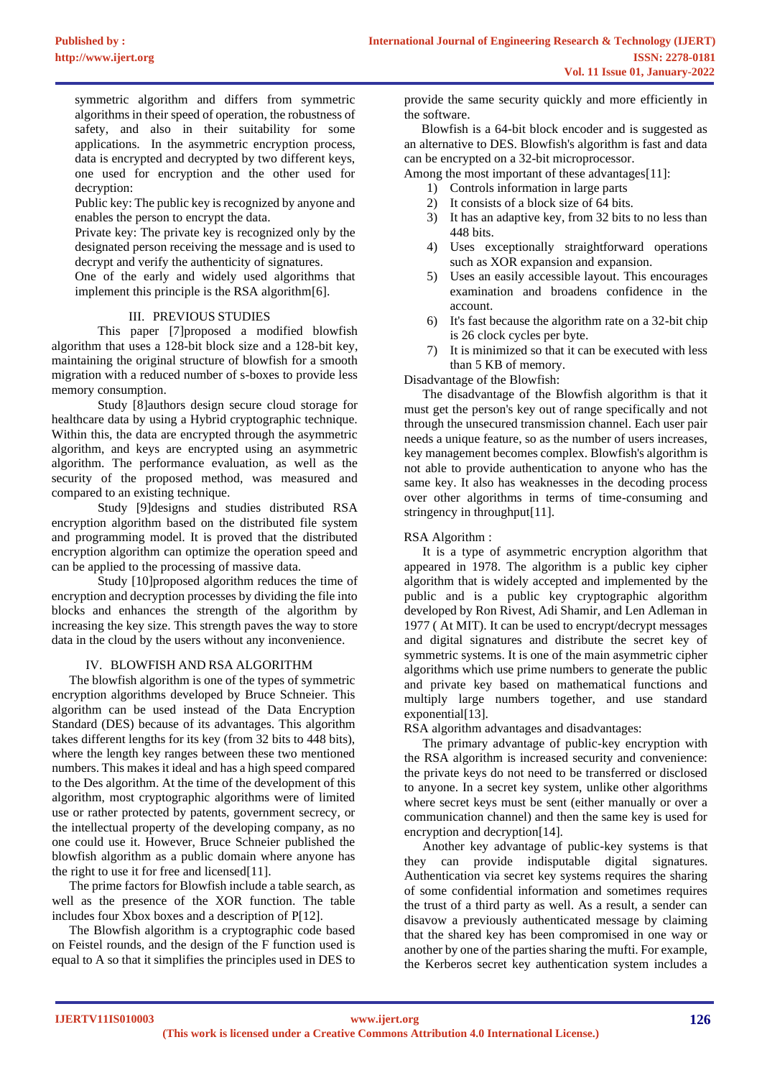symmetric algorithm and differs from symmetric algorithms in their speed of operation, the robustness of safety, and also in their suitability for some applications. In the asymmetric encryption process, data is encrypted and decrypted by two different keys, one used for encryption and the other used for decryption:

Public key: The public key is recognized by anyone and enables the person to encrypt the data.

Private key: The private key is recognized only by the designated person receiving the message and is used to decrypt and verify the authenticity of signatures.

One of the early and widely used algorithms that implement this principle is the RSA algorithm[6].

#### III. PREVIOUS STUDIES

This paper [7]proposed a modified blowfish algorithm that uses a 128-bit block size and a 128-bit key, maintaining the original structure of blowfish for a smooth migration with a reduced number of s-boxes to provide less memory consumption.

Study [8]authors design secure cloud storage for healthcare data by using a Hybrid cryptographic technique. Within this, the data are encrypted through the asymmetric algorithm, and keys are encrypted using an asymmetric algorithm. The performance evaluation, as well as the security of the proposed method, was measured and compared to an existing technique.

Study [9]designs and studies distributed RSA encryption algorithm based on the distributed file system and programming model. It is proved that the distributed encryption algorithm can optimize the operation speed and can be applied to the processing of massive data.

Study [10]proposed algorithm reduces the time of encryption and decryption processes by dividing the file into blocks and enhances the strength of the algorithm by increasing the key size. This strength paves the way to store data in the cloud by the users without any inconvenience.

#### IV. BLOWFISH AND RSA ALGORITHM

The blowfish algorithm is one of the types of symmetric encryption algorithms developed by Bruce Schneier. This algorithm can be used instead of the Data Encryption Standard (DES) because of its advantages. This algorithm takes different lengths for its key (from 32 bits to 448 bits), where the length key ranges between these two mentioned numbers. This makes it ideal and has a high speed compared to the Des algorithm. At the time of the development of this algorithm, most cryptographic algorithms were of limited use or rather protected by patents, government secrecy, or the intellectual property of the developing company, as no one could use it. However, Bruce Schneier published the blowfish algorithm as a public domain where anyone has the right to use it for free and licensed[11].

The prime factors for Blowfish include a table search, as well as the presence of the XOR function. The table includes four Xbox boxes and a description of P[12].

The Blowfish algorithm is a cryptographic code based on Feistel rounds, and the design of the F function used is equal to A so that it simplifies the principles used in DES to provide the same security quickly and more efficiently in the software.

Blowfish is a 64-bit block encoder and is suggested as an alternative to DES. Blowfish's algorithm is fast and data can be encrypted on a 32-bit microprocessor.

Among the most important of these advantages[11]:

- 1) Controls information in large parts
- 2) It consists of a block size of 64 bits.
- 3) It has an adaptive key, from 32 bits to no less than 448 bits.
- 4) Uses exceptionally straightforward operations such as XOR expansion and expansion.
- 5) Uses an easily accessible layout. This encourages examination and broadens confidence in the account.
- 6) It's fast because the algorithm rate on a 32-bit chip is 26 clock cycles per byte.
- 7) It is minimized so that it can be executed with less than 5 KB of memory.

Disadvantage of the Blowfish:

The disadvantage of the Blowfish algorithm is that it must get the person's key out of range specifically and not through the unsecured transmission channel. Each user pair needs a unique feature, so as the number of users increases, key management becomes complex. Blowfish's algorithm is not able to provide authentication to anyone who has the same key. It also has weaknesses in the decoding process over other algorithms in terms of time-consuming and stringency in throughput[11].

#### RSA Algorithm :

It is a type of asymmetric encryption algorithm that appeared in 1978. The algorithm is a public key cipher algorithm that is widely accepted and implemented by the public and is a public key cryptographic algorithm developed by Ron Rivest, Adi Shamir, and Len Adleman in 1977 ( At MIT). It can be used to encrypt/decrypt messages and digital signatures and distribute the secret key of symmetric systems. It is one of the main asymmetric cipher algorithms which use prime numbers to generate the public and private key based on mathematical functions and multiply large numbers together, and use standard exponential<sup>[13]</sup>.

RSA algorithm advantages and disadvantages:

The primary advantage of public-key encryption with the RSA algorithm is increased security and convenience: the private keys do not need to be transferred or disclosed to anyone. In a secret key system, unlike other algorithms where secret keys must be sent (either manually or over a communication channel) and then the same key is used for encryption and decryption[14].

Another key advantage of public-key systems is that they can provide indisputable digital signatures. Authentication via secret key systems requires the sharing of some confidential information and sometimes requires the trust of a third party as well. As a result, a sender can disavow a previously authenticated message by claiming that the shared key has been compromised in one way or another by one of the parties sharing the mufti. For example, the Kerberos secret key authentication system includes a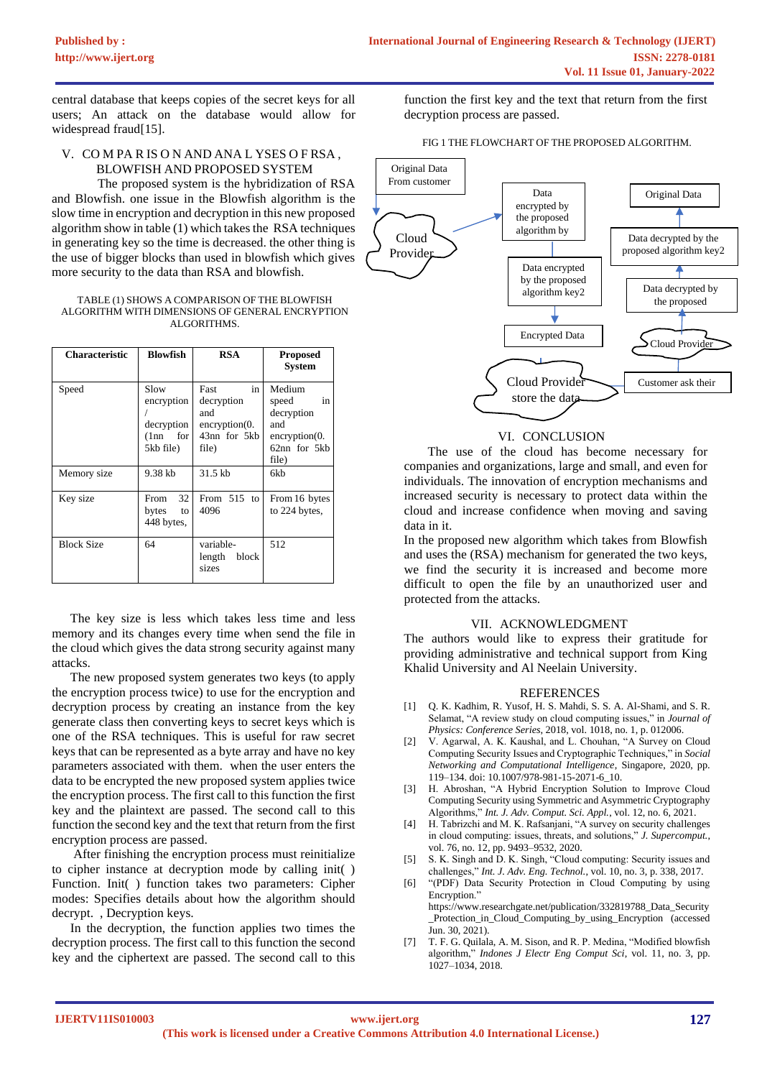central database that keeps copies of the secret keys for all users; An attack on the database would allow for widespread fraud[15].

## V. CO M PA R IS O N AND ANA L YSES O F RSA , BLOWFISH AND PROPOSED SYSTEM

The proposed system is the hybridization of RSA and Blowfish. one issue in the Blowfish algorithm is the slow time in encryption and decryption in this new proposed algorithm show in table (1) which takes the RSA techniques in generating key so the time is decreased. the other thing is the use of bigger blocks than used in blowfish which gives more security to the data than RSA and blowfish.

TABLE (1) SHOWS A COMPARISON OF THE BLOWFISH ALGORITHM WITH DIMENSIONS OF GENERAL ENCRYPTION ALGORITHMS.

| <b>Characteristic</b> | <b>Blowfish</b>                                              | <b>RSA</b>                                                                              | <b>Proposed</b><br>System                                                                     |
|-----------------------|--------------------------------------------------------------|-----------------------------------------------------------------------------------------|-----------------------------------------------------------------------------------------------|
| Speed                 | Slow<br>encryption<br>decryption<br>for<br>(1nn<br>5kb file) | in<br>Fast<br>decryption<br>and<br>$\frac{1}{2}$ encryption(0.<br>43nn for 5kb<br>file) | Medium<br>speed<br>in<br>decryption<br>and<br>$\text{encryption}(0.$<br>62nn for 5kb<br>file) |
| Memory size           | 9.38 kb                                                      | 31.5 kb                                                                                 | 6kb                                                                                           |
| Key size              | 32<br>From<br>bytes<br>to<br>448 bytes,                      | From $515$ to<br>4096                                                                   | From 16 bytes<br>to 224 bytes,                                                                |
| <b>Block Size</b>     | 64                                                           | variable-<br>block<br>length<br>sizes                                                   | 512                                                                                           |

The key size is less which takes less time and less memory and its changes every time when send the file in the cloud which gives the data strong security against many attacks.

The new proposed system generates two keys (to apply the encryption process twice) to use for the encryption and decryption process by creating an instance from the key generate class then converting keys to secret keys which is one of the RSA techniques. This is useful for raw secret keys that can be represented as a byte array and have no key parameters associated with them. when the user enters the data to be encrypted the new proposed system applies twice the encryption process. The first call to this function the first key and the plaintext are passed. The second call to this function the second key and the text that return from the first encryption process are passed.

After finishing the encryption process must reinitialize to cipher instance at decryption mode by calling init( ) Function. Init( ) function takes two parameters: Cipher modes: Specifies details about how the algorithm should decrypt. , Decryption keys.

In the decryption, the function applies two times the decryption process. The first call to this function the second key and the ciphertext are passed. The second call to this

function the first key and the text that return from the first decryption process are passed.

#### FIG 1 THE FLOWCHART OF THE PROPOSED ALGORITHM.



#### VI. CONCLUSION

The use of the cloud has become necessary for companies and organizations, large and small, and even for individuals. The innovation of encryption mechanisms and increased security is necessary to protect data within the cloud and increase confidence when moving and saving data in it.

In the proposed new algorithm which takes from Blowfish and uses the (RSA) mechanism for generated the two keys, we find the security it is increased and become more difficult to open the file by an unauthorized user and protected from the attacks.

#### VII. ACKNOWLEDGMENT

The authors would like to express their gratitude for providing administrative and technical support from King Khalid University and Al Neelain University.

#### **REFERENCES**

- [1] O. K. Kadhim, R. Yusof, H. S. Mahdi, S. S. A. Al-Shami, and S. R. Selamat, "A review study on cloud computing issues," in *Journal of Physics: Conference Series*, 2018, vol. 1018, no. 1, p. 012006.
- [2] V. Agarwal, A. K. Kaushal, and L. Chouhan, "A Survey on Cloud Computing Security Issues and Cryptographic Techniques," in *Social Networking and Computational Intelligence*, Singapore, 2020, pp. 119–134. doi: 10.1007/978-981-15-2071-6\_10.
- [3] H. Abroshan, "A Hybrid Encryption Solution to Improve Cloud Computing Security using Symmetric and Asymmetric Cryptography Algorithms," *Int. J. Adv. Comput. Sci. Appl.*, vol. 12, no. 6, 2021.
- [4] H. Tabrizchi and M. K. Rafsanjani, "A survey on security challenges in cloud computing: issues, threats, and solutions," *J. Supercomput.*, vol. 76, no. 12, pp. 9493–9532, 2020.
- [5] S. K. Singh and D. K. Singh, "Cloud computing: Security issues and challenges," *Int. J. Adv. Eng. Technol.*, vol. 10, no. 3, p. 338, 2017.
- [6] "(PDF) Data Security Protection in Cloud Computing by using Encryption."
	- https://www.researchgate.net/publication/332819788\_Data\_Security \_Protection\_in\_Cloud\_Computing\_by\_using\_Encryption (accessed Jun. 30, 2021).
- [7] T. F. G. Quilala, A. M. Sison, and R. P. Medina, "Modified blowfish algorithm," *Indones J Electr Eng Comput Sci*, vol. 11, no. 3, pp. 1027–1034, 2018.